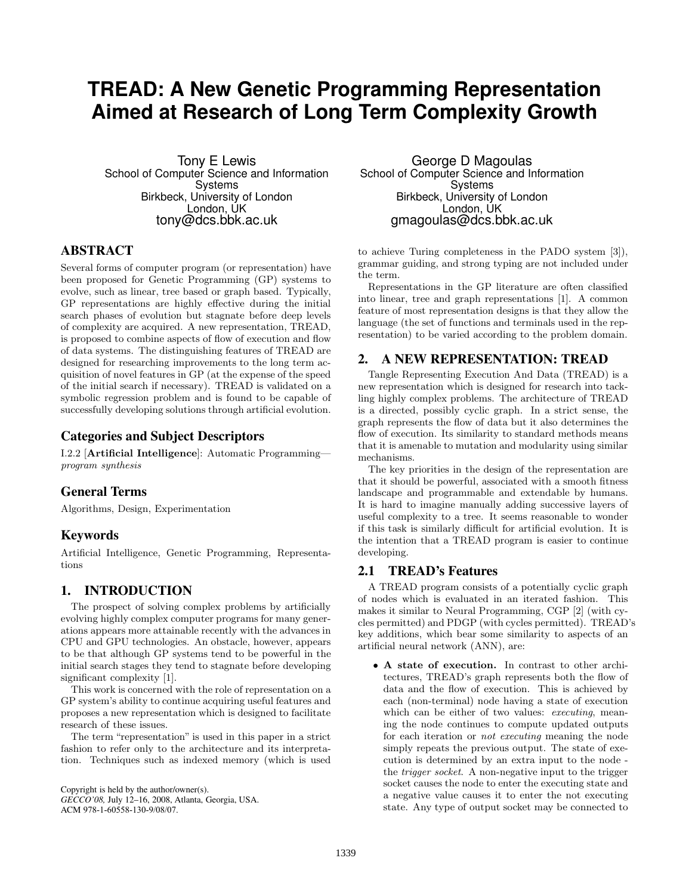# **TREAD: A New Genetic Programming Representation Aimed at Research of Long Term Complexity Growth**

Tony E Lewis School of Computer Science and Information **Systems** Birkbeck, University of London London, UK tony@dcs.bbk.ac.uk

## ABSTRACT

Several forms of computer program (or representation) have been proposed for Genetic Programming (GP) systems to evolve, such as linear, tree based or graph based. Typically, GP representations are highly effective during the initial search phases of evolution but stagnate before deep levels of complexity are acquired. A new representation, TREAD, is proposed to combine aspects of flow of execution and flow of data systems. The distinguishing features of TREAD are designed for researching improvements to the long term acquisition of novel features in GP (at the expense of the speed of the initial search if necessary). TREAD is validated on a symbolic regression problem and is found to be capable of successfully developing solutions through artificial evolution.

## Categories and Subject Descriptors

I.2.2 [Artificial Intelligence]: Automatic Programming program synthesis

## General Terms

Algorithms, Design, Experimentation

## Keywords

Artificial Intelligence, Genetic Programming, Representations

## 1. INTRODUCTION

The prospect of solving complex problems by artificially evolving highly complex computer programs for many generations appears more attainable recently with the advances in CPU and GPU technologies. An obstacle, however, appears to be that although GP systems tend to be powerful in the initial search stages they tend to stagnate before developing significant complexity [1].

This work is concerned with the role of representation on a GP system's ability to continue acquiring useful features and proposes a new representation which is designed to facilitate research of these issues.

The term "representation" is used in this paper in a strict fashion to refer only to the architecture and its interpretation. Techniques such as indexed memory (which is used

Copyright is held by the author/owner(s).

*GECCO'08,* July 12–16, 2008, Atlanta, Georgia, USA. ACM 978-1-60558-130-9/08/07.

George D Magoulas School of Computer Science and Information Systems Birkbeck, University of London London, UK gmagoulas@dcs.bbk.ac.uk

to achieve Turing completeness in the PADO system [3]), grammar guiding, and strong typing are not included under the term.

Representations in the GP literature are often classified into linear, tree and graph representations [1]. A common feature of most representation designs is that they allow the language (the set of functions and terminals used in the representation) to be varied according to the problem domain.

#### 2. A NEW REPRESENTATION: TREAD

Tangle Representing Execution And Data (TREAD) is a new representation which is designed for research into tackling highly complex problems. The architecture of TREAD is a directed, possibly cyclic graph. In a strict sense, the graph represents the flow of data but it also determines the flow of execution. Its similarity to standard methods means that it is amenable to mutation and modularity using similar mechanisms.

The key priorities in the design of the representation are that it should be powerful, associated with a smooth fitness landscape and programmable and extendable by humans. It is hard to imagine manually adding successive layers of useful complexity to a tree. It seems reasonable to wonder if this task is similarly difficult for artificial evolution. It is the intention that a TREAD program is easier to continue developing.

#### 2.1 TREAD's Features

A TREAD program consists of a potentially cyclic graph of nodes which is evaluated in an iterated fashion. This makes it similar to Neural Programming, CGP [2] (with cycles permitted) and PDGP (with cycles permitted). TREAD's key additions, which bear some similarity to aspects of an artificial neural network (ANN), are:

• A state of execution. In contrast to other architectures, TREAD's graph represents both the flow of data and the flow of execution. This is achieved by each (non-terminal) node having a state of execution which can be either of two values: *executing*, meaning the node continues to compute updated outputs for each iteration or not executing meaning the node simply repeats the previous output. The state of execution is determined by an extra input to the node the trigger socket. A non-negative input to the trigger socket causes the node to enter the executing state and a negative value causes it to enter the not executing state. Any type of output socket may be connected to